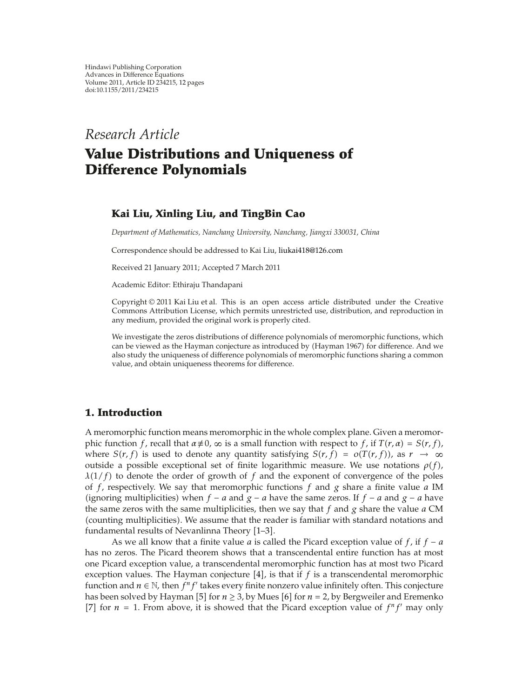*Research Article*

# **Value Distributions and Uniqueness of Difference Polynomials**

# **Kai Liu, Xinling Liu, and TingBin Cao**

*Department of Mathematics, Nanchang University, Nanchang, Jiangxi 330031, China*

Correspondence should be addressed to Kai Liu, liukai418@126.com

Received 21 January 2011; Accepted 7 March 2011

Academic Editor: Ethiraju Thandapani

Copyright © 2011 Kai Liu et al. This is an open access article distributed under the Creative Commons Attribution License, which permits unrestricted use, distribution, and reproduction in any medium, provided the original work is properly cited.

We investigate the zeros distributions of difference polynomials of meromorphic functions, which can be viewed as the Hayman conjecture as introduced by Hayman 1967 for difference. And we also study the uniqueness of difference polynomials of meromorphic functions sharing a common value, and obtain uniqueness theorems for difference.

# **1. Introduction**

A meromorphic function means meromorphic in the whole complex plane. Given a meromorphic function *f*, recall that  $\alpha \neq 0$ ,  $\infty$  is a small function with respect to *f*, if  $T(r, \alpha) = S(r, f)$ , where  $S(r, f)$  is used to denote any quantity satisfying  $S(r, f) = o(T(r, f))$ , as  $r \to \infty$ outside a possible exceptional set of finite logarithmic measure. We use notations  $\rho(f)$ , *λ*1*/f* to denote the order of growth of *f* and the exponent of convergence of the poles of *f*, respectively. We say that meromorphic functions *f* and *g* share a finite value *a* IM (ignoring multiplicities) when  $f − a$  and  $g − a$  have the same zeros. If  $f − a$  and  $g − a$  have the same zeros with the same multiplicities, then we say that *f* and *g* share the value *a* CM (counting multiplicities). We assume that the reader is familiar with standard notations and fundamental results of Nevanlinna Theory [1-3].

As we all know that a finite value *a* is called the Picard exception value of *f*, if *f* <sup>−</sup> *a* has no zeros. The Picard theorem shows that a transcendental entire function has at most one Picard exception value, a transcendental meromorphic function has at most two Picard exception values. The Hayman conjecture  $[4]$ , is that if f is a transcendental meromorphic function and  $n \in \mathbb{N}$ , then  $f^n f'$  takes every finite nonzero value infinitely often. This conjecture has been solved by Hayman [5] for  $n \ge 3$ , by Mues [6] for  $n = 2$ , by Bergweiler and Eremenko [7] for  $n = 1$ . From above, it is showed that the Picard exception value of  $f^n f'$  may only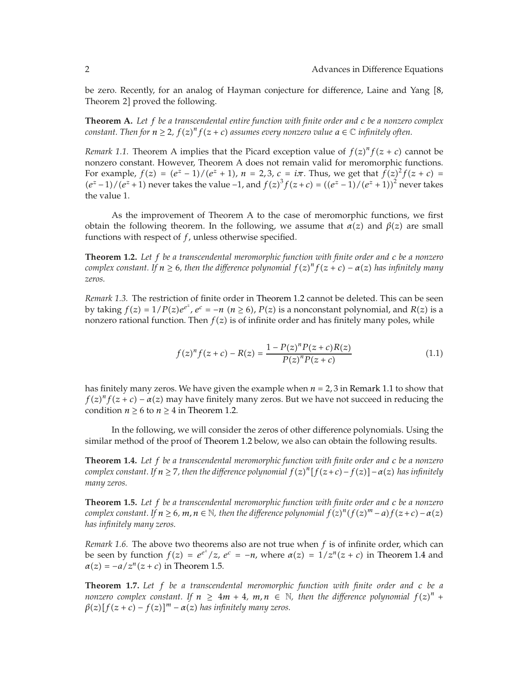be zero. Recently, for an analog of Hayman conjecture for difference, Laine and Yang [8, Theorem 2] proved the following.

**Theorem A.** *Let f be a transcendental entire function with finite order and c be a nonzero complex constant. Then for*  $n \ge 2$ *,*  $f(z)^n f(z + c)$  *assumes every nonzero value*  $a \in \mathbb{C}$  *infinitely often.* 

*Remark 1.1.* Theorem A implies that the Picard exception value of  $f(z)^n f(z + c)$  cannot be nonzero constant. However, Theorem A does not remain valid for moromorphic functions. nonzero constant. However, Theorem A does not remain valid for meromorphic functions. For example,  $f(z) = (e^z - 1)/(e^z + 1)$ ,  $n = 2,3$ ,  $c = i\pi$ . Thus, we get that  $f(z)^2 f(z + c) =$ <br> $(e^z - 1)/(e^z + 1)$  pover takes the value  $-1$  and  $f(z)^3 f(z + c) = ((e^z - 1)/(e^z + 1))^2$  pover takes  $(e^{z}-1)/(e^{z}+1)$  never takes the value −1, and  $f(z)^{3} f(z+c) = ((e^{z}-1)/(e^{z}+1))^{2}$  never takes the value 1 the value 1.

As the improvement of Theorem A to the case of meromorphic functions, we first obtain the following theorem. In the following, we assume that  $\alpha(z)$  and  $\beta(z)$  are small functions with respect of *f*, unless otherwise specified.

**Theorem 1.2.** *Let f be a transcendental meromorphic function with finite order and c be a nonzero complex constant. If*  $n \ge 6$ *, then the difference polynomial*  $f(z)^n f(z + c) - \alpha(z)$  *has infinitely many*<br>zeros *zeros.*

*Remark 1.3.* The restriction of finite order in Theorem 1.2 cannot be deleted. This can be seen by taking  $f(z) = 1/P(z)e^{e^z}, e^c = -n$  ( $n \ge 6$ ),  $P(z)$  is a nonconstant polynomial, and  $R(z)$  is a nonzero rational function. Then  $f(z)$  is of infinite order and has finitely many poles, while nonzero rational function. Then  $f(z)$  is of infinite order and has finitely many poles, while

$$
f(z)^{n} f(z+c) - R(z) = \frac{1 - P(z)^{n} P(z+c) R(z)}{P(z)^{n} P(z+c)}
$$
(1.1)

has finitely many zeros. We have given the example when  $n = 2, 3$  in Remark 1.1 to show that  $f(z)^n f(z+c) - a(z)$  may have finitely many zeros. But we have not succeed in reducing the condition  $n > 6$  to  $n > 4$  in Theorem 1.2 condition  $n \ge 6$  to  $n \ge 4$  in Theorem 1.2.

In the following, we will consider the zeros of other difference polynomials. Using the similar method of the proof of Theorem 1.2 below, we also can obtain the following results.

**Theorem 1.4.** *Let f be a transcendental meromorphic function with finite order and c be a nonzero complex constant. If n* ≥ 7, then the difference polynomial  $f(z)^n[f(z+c)-f(z)] − α(z)$  has infinitely<br>many zeros *many zeros.*

**Theorem 1.5.** *Let f be a transcendental meromorphic function with finite order and c be a nonzero complex constant. If*  $n \ge 6$ *,*  $m$ *,*  $n \in \mathbb{N}$ *, then the difference polynomial*  $f(z)^n(f(z)^m - a)f(z + c) - a(z)$ *<br>has infinitely many zeros has infinitely many zeros.*

*Remark 1.6.* The above two theorems also are not true when *f* is of infinite order, which can be seen by function  $f(z) = e^{e^z}/z$ ,  $e^c = -n$ , where  $\alpha(z) = 1/z^n(z + c)$  in Theorem 1.4 and  $\alpha(z) = a/z^n(z + c)$  in Theorem 1.5  $\alpha(z) = -a/z^n(z+c)$  in Theorem 1.5.

**Theorem 1.7.** *Let f be a transcendental meromorphic function with finite order and c be a nonzero complex constant.* If  $n \ge 4m + 4$ ,  $m, n \in \mathbb{N}$ , then the difference polynomial  $f(z)^n + g(z) [f(z + c) - f(z)]^m - g(z)$  has infinitely many zeros  $\beta(z)$   $[f(z + c) - f(z)]^m - \alpha(z)$  has infinitely many zeros.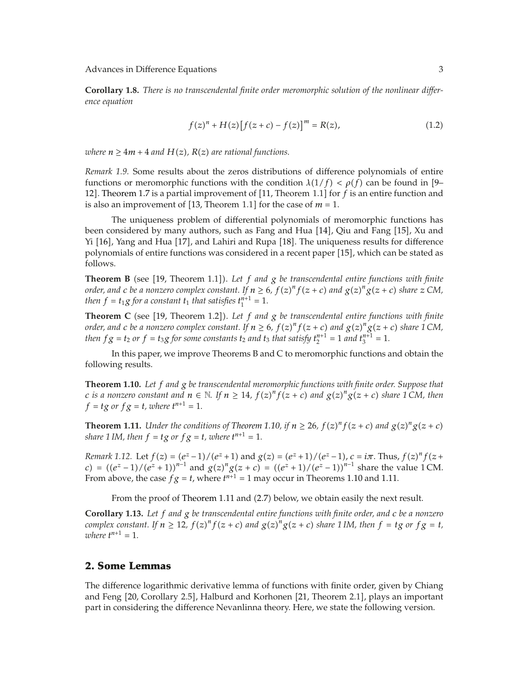**Corollary 1.8.** *There is no transcendental finite order meromorphic solution of the nonlinear difference equation*

$$
f(z)^{n} + H(z) [f(z + c) - f(z)]^{m} = R(z),
$$
\n(1.2)

*where*  $n \geq 4m + 4$  *and*  $H(z)$ ,  $R(z)$  *are rational functions.* 

*Remark 1.9.* Some results about the zeros distributions of difference polynomials of entire functions or meromorphic functions with the condition  $\lambda(1/f) < \rho(f)$  can be found in [9– <sup>12</sup>. Theorem 1.7 is a partial improvement of 11, Theorem 1.1 for *f* is an entire function and is also an improvement of [13, Theorem 1.1] for the case of  $m = 1$ .

The uniqueness problem of differential polynomials of meromorphic functions has been considered by many authors, such as Fang and Hua [14], Qiu and Fang [15], Xu and Yi [16], Yang and Hua [17], and Lahiri and Rupa [18]. The uniqueness results for difference polynomials of entire functions was considered in a recent paper [15], which can be stated as follows.

**Theorem B** (see [19, Theorem 1.1]). Let  $f$  and  $g$  be transcendental entire functions with finite *order, and c be a nonzero complex constant. If*  $n \ge 6$ *,*  $f(z)^n f(z+c)$  *and*  $g(z)^n g(z+c)$  *share*  $z$  *CM, then*  $f-t$  *a for a constant*  $t$ *, that satisfies*  $t^{n+1}-1$ *then*  $f = t_1 g$  *for a constant*  $t_1$  *that satisfies*  $t_1^{n+1} = 1$ *.* 

**Theorem C** (see [19, Theorem 1.2]). Let f and g be transcendental entire functions with finite *order, and c be a nonzero complex constant. If*  $n \ge 6$ *,*  $f(z)^n f(z+c)$  *and*  $g(z)^n g(z+c)$  *share 1 CM,*<br>then  $f \circ f = f \circ f$  or  $f = f \circ f$  come constants to and to that satisfies  $f^{n+1} = 1$  and  $f^{n+1} = 1$ . *then*  $fg = t_2$  *or*  $f = t_3g$  *for some constants*  $t_2$  *and*  $t_3$  *that satisfy*  $t_2^{n+1} = 1$  *and*  $t_3^{n+1} = 1$ .

In this paper, we improve Theorems B and C to meromorphic functions and obtain the following results.

**Theorem 1.10.** *Let f and g be transcendental meromorphic functions with finite order. Suppose that* c is a nonzero constant and  $n \in \mathbb{N}$ . If  $n \ge 14$ ,  $f(z)^n f(z+c)$  and  $g(z)^n g(z+c)$  share 1 CM, then<br>f - to or f  $g$  - t where  $t^{n+1}$  - 1  $f = tg$  or  $fg = t$ *, where*  $t^{n+1} = 1$ *.* 

**Theorem 1.11.** Under the conditions of Theorem 1.10, if  $n \ge 26$ ,  $f(z)^n f(z + c)$  and  $g(z)^n g(z + c)$ *share* 1 IM, then  $f = tg$  or  $fg = t$ , where  $t^{n+1} = 1$ .

*Remark* 1.12. Let  $f(z) = (e^z - 1)/(e^z + 1)$  and  $g(z) = (e^z + 1)/(e^z - 1), c = i\pi$ . Thus,  $f(z)^n f(z + c) = ((a^z - 1)/(a^z - 1))^{n-1}$  and  $g(z)^n g(z + c) = ((a^z - 1)/(a^z - 1))^{n-1}$  above the value 1.0 M  $c$   $e^{z} = \frac{((e^{z} - 1)/(e^{z} + 1))^{n-1}}{e^{z} + 1}$  and  $g(z)^{n}g(z + c) = \frac{((e^{z} + 1)/(e^{z} - 1))^{n-1}}{e^{z} + 1}$  share the value 1 CM. From above, the case  $fg = t$ , where  $t^{n+1} = 1$  may occur in Theorems 1.10 and 1.11.

From the proof of Theorem 1.11 and (2.7) below, we obtain easily the next result.

**Corollary 1.13.** *Let f and g be transcendental entire functions with finite order, and c be a nonzero* complex constant. If  $n \ge 12$ ,  $f(z)^n f(z + c)$  and  $g(z)^n g(z + c)$  share 1 IM, then  $f = tg$  or  $fg = t$ ,<br>zubere  $t^{n+1} - 1$ *where*  $t^{n+1} = 1$ .

# **2. Some Lemmas**

The difference logarithmic derivative lemma of functions with finite order, given by Chiang and Feng [20, Corollary 2.5], Halburd and Korhonen [21, Theorem 2.1], plays an important part in considering the difference Nevanlinna theory. Here, we state the following version.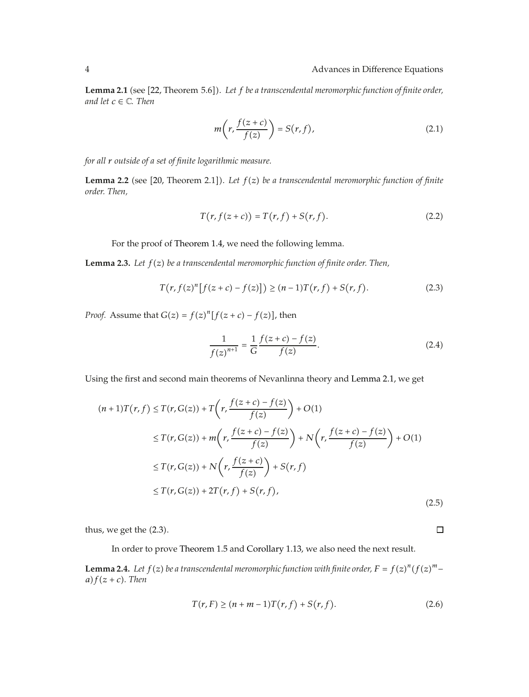Lemma 2.1 (see [22, Theorem 5.6]). Let f be a transcendental meromorphic function of finite order, *and let*  $c \in \mathbb{C}$ *. Then* 

$$
m\left(r,\frac{f(z+c)}{f(z)}\right) = S(r,f),\tag{2.1}
$$

*for all r outside of a set of finite logarithmic measure.*

**Lemma 2.2** (see [20, Theorem 2.1]). Let  $f(z)$  be a transcendental meromorphic function of finite *order. Then,*

$$
T(r, f(z + c)) = T(r, f) + S(r, f).
$$
 (2.2)

For the proof of Theorem 1.4, we need the following lemma.

**Lemma 2.3.** Let  $f(z)$  be a transcendental meromorphic function of finite order. Then,

$$
T(r, f(z)^{n}[f(z+c) - f(z)]) \ge (n-1)T(r, f) + S(r, f).
$$
 (2.3)

*Proof.* Assume that  $G(z) = f(z)^n[f(z + c) - f(z)]$ , then

$$
\frac{1}{f(z)^{n+1}} = \frac{1}{G} \frac{f(z+c) - f(z)}{f(z)}.
$$
\n(2.4)

Using the first and second main theorems of Nevanlinna theory and Lemma 2.1, we get

$$
(n+1)T(r, f) \leq T(r, G(z)) + T\left(r, \frac{f(z+c) - f(z)}{f(z)}\right) + O(1)
$$
  
\n
$$
\leq T(r, G(z)) + m\left(r, \frac{f(z+c) - f(z)}{f(z)}\right) + N\left(r, \frac{f(z+c) - f(z)}{f(z)}\right) + O(1)
$$
  
\n
$$
\leq T(r, G(z)) + N\left(r, \frac{f(z+c)}{f(z)}\right) + S(r, f)
$$
  
\n
$$
\leq T(r, G(z)) + 2T(r, f) + S(r, f),
$$
\n(2.5)

thus, we get the  $(2.3)$ .

In order to prove Theorem 1.5 and Corollary 1.13, we also need the next result.

**Lemma 2.4.** Let  $f(z)$  be a transcendental meromorphic function with finite order,  $F = f(z)^n (f(z)^m - q) f(z+c)$ . Then  $a) f(z + c)$ *. Then* 

$$
T(r, F) \ge (n + m - 1)T(r, f) + S(r, f).
$$
 (2.6)

 $\Box$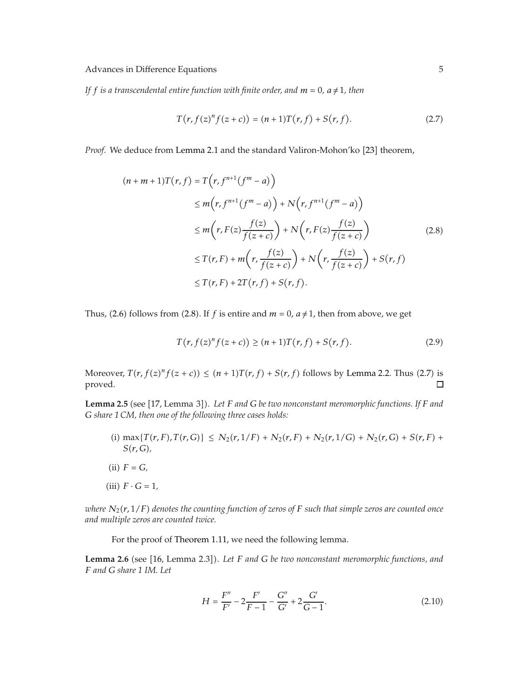*If f* is a transcendental entire function with finite order, and  $m = 0$ ,  $a \neq 1$ , then

$$
T(r, f(z)^n f(z + c)) = (n + 1)T(r, f) + S(r, f).
$$
 (2.7)

Proof. We deduce from Lemma 2.1 and the standard Valiron-Mohon'ko [23] theorem,

$$
(n+m+1)T(r,f) = T(r, f^{n+1}(f^m - a))
$$
  
\n
$$
\leq m(r, f^{n+1}(f^m - a)) + N(r, f^{n+1}(f^m - a))
$$
  
\n
$$
\leq m(r, F(z)\frac{f(z)}{f(z+c)}) + N(r, F(z)\frac{f(z)}{f(z+c)})
$$
  
\n
$$
\leq T(r, F) + m(r, \frac{f(z)}{f(z+c)}) + N(r, \frac{f(z)}{f(z+c)}) + S(r, f)
$$
  
\n
$$
\leq T(r, F) + 2T(r, f) + S(r, f).
$$
 (2.8)

Thus, (2.6) follows from (2.8). If *f* is entire and  $m = 0$ ,  $a \ne 1$ , then from above, we get

$$
T(r, f(z)^{n} f(z + c)) \ge (n+1)T(r, f) + S(r, f).
$$
 (2.9)

Moreover,  $T(r, f(z)^n f(z + c)) \leq (n + 1)T(r, f) + S(r, f)$  follows by Lemma 2.2. Thus (2.7) is<br>proved proved.

Lemma 2.5 (see [17, Lemma 3]). Let *F* and *G* be two nonconstant meromorphic functions. If *F* and *G share 1 CM, then one of the following three cases holds:*

- $\{i\}$  max $\{T(r, F), T(r, G)\} \leq N_2(r, 1/F) + N_2(r, F) + N_2(r, 1/G) + N_2(r, G) + S(r, F) + N_2(r, G)$ *Sr, G,*
- $(ii)$   $F = G$ ,
- $(iii)$   $F \cdot G = 1$ ,

*where*  $N_2(r, 1/F)$  *denotes the counting function of zeros of*  $F$  *such that simple zeros are counted once and multiple zeros are counted twice.*

For the proof of Theorem 1.11, we need the following lemma.

**Lemma 2.6** (see [16, Lemma 2.3]). Let *F* and *G* be two nonconstant meromorphic functions, and *F and G share 1 IM. Let*

$$
H = \frac{F''}{F'} - 2\frac{F'}{F - 1} - \frac{G''}{G'} + 2\frac{G'}{G - 1}.
$$
 (2.10)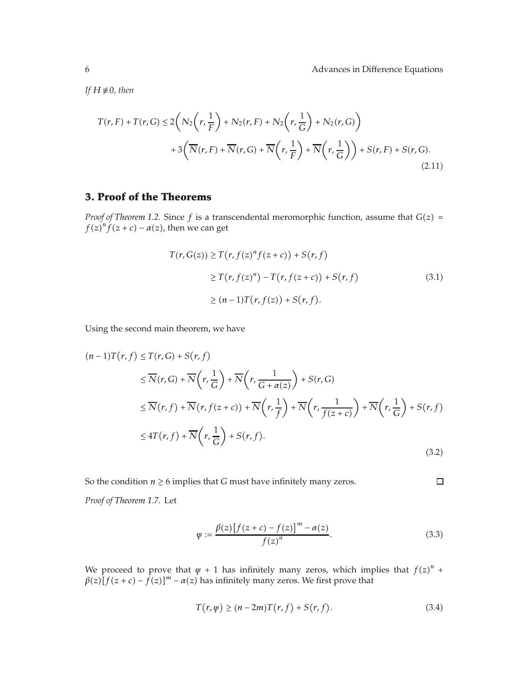*If*  $H \not\equiv 0$ *, then* 

$$
T(r, F) + T(r, G) \le 2\left(N_2\left(r, \frac{1}{F}\right) + N_2(r, F) + N_2\left(r, \frac{1}{G}\right) + N_2(r, G)\right)
$$
  
+3 $\left(\overline{N}(r, F) + \overline{N}(r, G) + \overline{N}\left(r, \frac{1}{F}\right) + \overline{N}\left(r, \frac{1}{G}\right)\right) + S(r, F) + S(r, G).$ \n(2.11)

# **3. Proof of the Theorems**

*Proof of Theorem 1.2.* Since  $f$  is a transcendental meromorphic function, assume that  $G(z)$  =  $f(z)^n f(z+c) - a(z)$ , then we can get

$$
T(r, G(z)) \ge T(r, f(z)^n f(z + c)) + S(r, f)
$$
  
\n
$$
\ge T(r, f(z)^n) - T(r, f(z + c)) + S(r, f)
$$
  
\n
$$
\ge (n - 1)T(r, f(z)) + S(r, f).
$$
 (3.1)

Using the second main theorem, we have

$$
(n-1)T(r, f) \leq T(r, G) + S(r, f)
$$
  
\n
$$
\leq \overline{N}(r, G) + \overline{N}(r, \frac{1}{G}) + \overline{N}(r, \frac{1}{G + \alpha(z)}) + S(r, G)
$$
  
\n
$$
\leq \overline{N}(r, f) + \overline{N}(r, f(z + c)) + \overline{N}(r, \frac{1}{f}) + \overline{N}(r, \frac{1}{f(z + c)}) + \overline{N}(r, \frac{1}{G}) + S(r, f)
$$
  
\n
$$
\leq 4T(r, f) + \overline{N}(r, \frac{1}{G}) + S(r, f).
$$
\n(3.2)

So the condition  $n \ge 6$  implies that *G* must have infinitely many zeros.

*Proof of Theorem 1.7.* Let

$$
\psi := \frac{\beta(z) \left[ f(z+c) - f(z) \right]^m - \alpha(z)}{f(z)^n}.
$$
\n(3.3)

 $\Box$ 

We proceed to prove that  $\psi + 1$  has infinitely many zeros, which implies that  $f(z)^n +$ <br> $\beta(z)[f(z+c) - f(z)]^m - \alpha(z)$  has infinitely many zeros. We first prove that  $\beta(z)[f(z+c) - f(z)]^m - \alpha(z)$  has infinitely many zeros. We first prove that

$$
T(r,\psi) \ge (n-2m)T(r,f) + S(r,f). \tag{3.4}
$$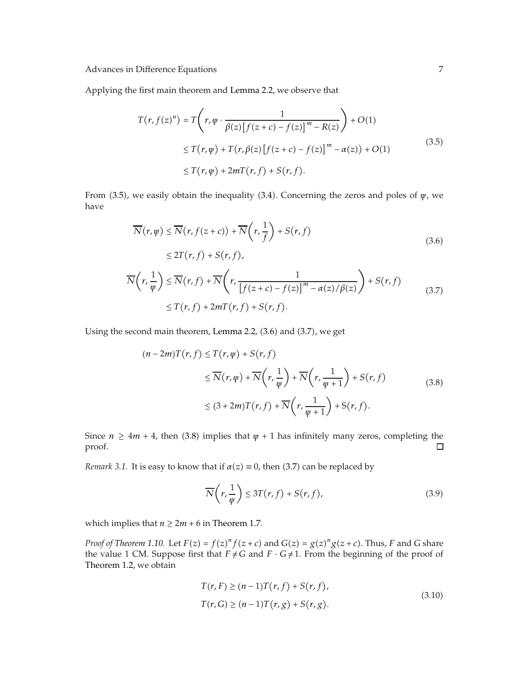Applying the first main theorem and Lemma 2.2, we observe that

$$
T(r, f(z)^n) = T\left(r, \psi \cdot \frac{1}{\beta(z) [f(z+c) - f(z)]^m - R(z)}\right) + O(1)
$$
  
\n
$$
\leq T(r, \psi) + T(r, \beta(z) [f(z+c) - f(z)]^m - \alpha(z)) + O(1)
$$
  
\n
$$
\leq T(r, \psi) + 2mT(r, f) + S(r, f).
$$
\n(3.5)

From 3.5, we easily obtain the inequality 3.4. Concerning the zeros and poles of *ψ*, we have

$$
\overline{N}(r,\psi) \leq \overline{N}(r,f(z+c)) + \overline{N}(r,\frac{1}{f}) + S(r,f)
$$
\n
$$
\leq 2T(r,f) + S(r,f),
$$
\n
$$
\overline{N}(r,\frac{1}{\psi}) \leq \overline{N}(r,f) + \overline{N}(r,\frac{1}{[f(z+c) - f(z)]^m - \alpha(z)/\beta(z)}) + S(r,f)
$$
\n
$$
\leq T(r,f) + 2mT(r,f) + S(r,f).
$$
\n(3.7)

Using the second main theorem, Lemma 2.2,  $(3.6)$  and  $(3.7)$ , we get

$$
(n-2m)T(r, f) \le T(r, \varphi) + S(r, f)
$$
  
\n
$$
\le \overline{N}(r, \varphi) + \overline{N}(r, \frac{1}{\varphi}) + \overline{N}(r, \frac{1}{\varphi + 1}) + S(r, f)
$$
  
\n
$$
\le (3+2m)T(r, f) + \overline{N}(r, \frac{1}{\varphi + 1}) + S(r, f).
$$
\n(3.8)

Since *n*  $\geq$  4*m* + 4, then (3.8) implies that *ψ* + 1 has infinitely many zeros, completing the proof. proof.

*Remark 3.1.* It is easy to know that if  $\alpha(z) \equiv 0$ , then (3.7) can be replaced by

$$
\overline{N}\left(r,\frac{1}{\psi}\right) \le 3T(r,f) + S(r,f),\tag{3.9}
$$

which implies that  $n \geq 2m + 6$  in Theorem 1.7.

*Proof of Theorem 1.10.* Let  $F(z) = f(z)^n f(z+c)$  and  $G(z) = g(z)^n g(z+c)$ . Thus, *F* and *G* share the value 1 CM. Suppose first that  $F \neq G$  and  $F \cdot G \neq 1$ . From the beginning of the proof of Theorem 1.2, we obtain

$$
T(r, F) \ge (n - 1)T(r, f) + S(r, f),
$$
  
\n
$$
T(r, G) \ge (n - 1)T(r, g) + S(r, g).
$$
\n(3.10)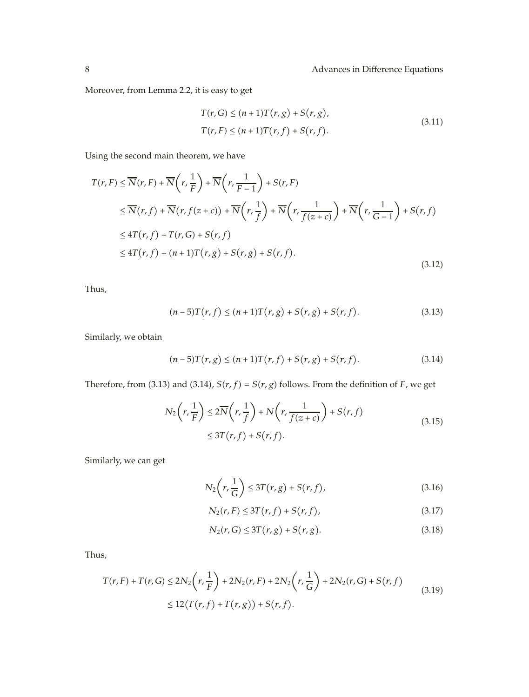Moreover, from Lemma 2.2, it is easy to get

$$
T(r, G) \le (n+1)T(r, g) + S(r, g),
$$
  
\n
$$
T(r, F) \le (n+1)T(r, f) + S(r, f).
$$
\n(3.11)

Using the second main theorem, we have

$$
T(r, F) \leq \overline{N}(r, F) + \overline{N}\left(r, \frac{1}{F}\right) + \overline{N}\left(r, \frac{1}{F-1}\right) + S(r, F)
$$
  
\n
$$
\leq \overline{N}(r, f) + \overline{N}(r, f(z+c)) + \overline{N}\left(r, \frac{1}{f}\right) + \overline{N}\left(r, \frac{1}{f(z+c)}\right) + \overline{N}\left(r, \frac{1}{G-1}\right) + S(r, f)
$$
  
\n
$$
\leq 4T(r, f) + T(r, G) + S(r, f)
$$
  
\n
$$
\leq 4T(r, f) + (n+1)T(r, g) + S(r, g) + S(r, f).
$$
\n(3.12)

Thus,

$$
(n-5)T(r,f) \le (n+1)T(r,g) + S(r,g) + S(r,f). \tag{3.13}
$$

Similarly, we obtain

$$
(n-5)T(r,g) \le (n+1)T(r,f) + S(r,g) + S(r,f). \tag{3.14}
$$

Therefore, from (3.13) and (3.14),  $S(r, f) = S(r, g)$  follows. From the definition of *F*, we get

$$
N_2\left(r,\frac{1}{F}\right) \le 2\overline{N}\left(r,\frac{1}{f}\right) + N\left(r,\frac{1}{f(z+c)}\right) + S(r,f)
$$
  
 
$$
\le 3T(r,f) + S(r,f).
$$
 (3.15)

Similarly, we can get

$$
N_2\left(r,\frac{1}{G}\right) \le 3T(r,g) + S(r,f),\tag{3.16}
$$

$$
N_2(r, F) \le 3T(r, f) + S(r, f),
$$
\n(3.17)

$$
N_2(r, G) \le 3T(r, g) + S(r, g). \tag{3.18}
$$

Thus,

$$
T(r, F) + T(r, G) \le 2N_2 \left(r, \frac{1}{F}\right) + 2N_2(r, F) + 2N_2 \left(r, \frac{1}{G}\right) + 2N_2(r, G) + S(r, f)
$$
  
 
$$
\le 12(T(r, f) + T(r, g)) + S(r, f).
$$
 (3.19)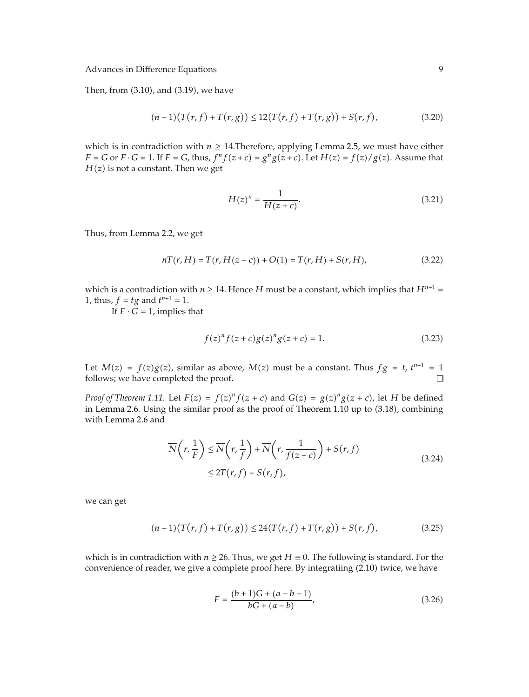Then, from  $(3.10)$ , and  $(3.19)$ , we have

$$
(n-1)\big(T(r,f) + T(r,g)\big) \le 12\big(T(r,f) + T(r,g)\big) + S(r,f),\tag{3.20}
$$

which is in contradiction with  $n \geq 14$ . Therefore, applying Lemma 2.5, we must have either *F* = *G* or *F* · *G* = 1. If *F* = *G*, thus,  $f^n f(z + c) = g^n g(z + c)$ . Let  $H(z) = f(z)/g(z)$ . Assume that  $H(z)$  is not a constant. Then we get

$$
H(z)^n = \frac{1}{H(z+c)}.\tag{3.21}
$$

Thus, from Lemma 2.2, we get

$$
nT(r, H) = T(r, H(z + c)) + O(1) = T(r, H) + S(r, H),
$$
\n(3.22)

which is a contradiction with  $n \geq 14$ . Hence *H* must be a constant, which implies that  $H^{n+1}$  = 1, thus,  $f = tg$  and  $t^{n+1} = 1$ .<br>
If  $F \cdot G = 1$  implies

If  $F \cdot \breve{G} = 1$ , implies that

$$
f(z)^{n} f(z+c)g(z)^{n} g(z+c) = 1.
$$
 (3.23)

Let  $M(z) = f(z)g(z)$ , similar as above,  $M(z)$  must be a constant. Thus  $fg = t$ ,  $t^{n+1} = 1$  follows: we have completed the proof follows; we have completed the proof.  $\Box$ 

*Proof of Theorem 1.11.* Let  $F(z) = f(z)^n f(z+c)$  and  $G(z) = g(z)^n g(z+c)$ , let *H* be defined in Lomma 2.6. Using the similar proof as the proof of Theorem 1.10 up to (3.18), combining in Lemma 2.6. Using the similar proof as the proof of Theorem  $1.10$  up to  $(3.18)$ , combining with Lemma 2.6 and

$$
\overline{N}\left(r,\frac{1}{F}\right) \leq \overline{N}\left(r,\frac{1}{f}\right) + \overline{N}\left(r,\frac{1}{f(z+c)}\right) + S(r,f)
$$
\n
$$
\leq 2T(r,f) + S(r,f),
$$
\n(3.24)

we can get

$$
(n-1)\big(T(r,f) + T(r,g)\big) \le 24\big(T(r,f) + T(r,g)\big) + S(r,f),\tag{3.25}
$$

which is in contradiction with  $n \ge 26$ . Thus, we get  $H \equiv 0$ . The following is standard. For the convenience of reader, we give a complete proof here. By integratiing (2.10) twice, we have

$$
F = \frac{(b+1)G + (a-b-1)}{bG + (a-b)},
$$
\n(3.26)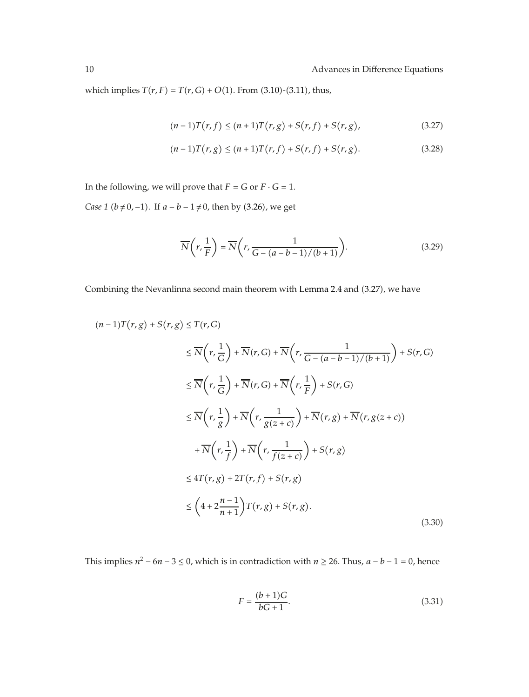which implies  $T(r, F) = T(r, G) + O(1)$ . From (3.10)-(3.11), thus,

$$
(n-1)T(r, f) \le (n+1)T(r, g) + S(r, f) + S(r, g),
$$
\n(3.27)

$$
(n-1)T(r,g) \le (n+1)T(r,f) + S(r,f) + S(r,g). \tag{3.28}
$$

In the following, we will prove that  $F = G$  or  $F \cdot G = 1$ .

*Case 1* (*b* ≠ 0, −1). If  $a - b - 1$  ≠ 0, then by (3.26), we get

$$
\overline{N}\left(r,\frac{1}{F}\right) = \overline{N}\left(r,\frac{1}{G - (a-b-1)/(b+1)}\right).
$$
\n(3.29)

Combining the Nevanlinna second main theorem with Lemma 2.4 and (3.27), we have

$$
(n-1)T(r,g) + S(r,g) \le T(r,G)
$$
  
\n
$$
\le \overline{N}\left(r,\frac{1}{G}\right) + \overline{N}(r,G) + \overline{N}\left(r,\frac{1}{G - (a-b-1)/(b+1)}\right) + S(r,G)
$$
  
\n
$$
\le \overline{N}\left(r,\frac{1}{G}\right) + \overline{N}(r,G) + \overline{N}\left(r,\frac{1}{F}\right) + S(r,G)
$$
  
\n
$$
\le \overline{N}\left(r,\frac{1}{g}\right) + \overline{N}\left(r,\frac{1}{g(z+c)}\right) + \overline{N}(r,g) + \overline{N}(r,g(z+c))
$$
  
\n
$$
+ \overline{N}\left(r,\frac{1}{f}\right) + \overline{N}\left(r,\frac{1}{f(z+c)}\right) + S(r,g)
$$
  
\n
$$
\le 4T(r,g) + 2T(r,f) + S(r,g)
$$
  
\n
$$
\le \left(4 + 2\frac{n-1}{n+1}\right)T(r,g) + S(r,g).
$$
\n(3.30)

This implies  $n^2 - 6n - 3 \le 0$ , which is in contradiction with  $n \ge 26$ . Thus,  $a - b - 1 = 0$ , hence

$$
F = \frac{(b+1)G}{bG+1}.
$$
\n(3.31)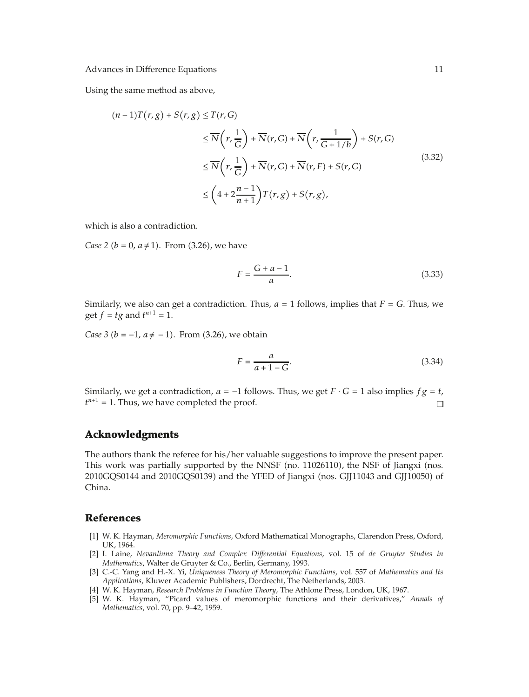Using the same method as above,

$$
(n-1)T(r,g) + S(r,g) \le T(r,G)
$$
  
\n
$$
\le \overline{N}\left(r,\frac{1}{G}\right) + \overline{N}(r,G) + \overline{N}\left(r,\frac{1}{G+1/b}\right) + S(r,G)
$$
  
\n
$$
\le \overline{N}\left(r,\frac{1}{G}\right) + \overline{N}(r,G) + \overline{N}(r,F) + S(r,G)
$$
  
\n
$$
\le \left(4 + 2\frac{n-1}{n+1}\right)T(r,g) + S(r,g),
$$
\n(3.32)

which is also a contradiction.

*Case 2 (b = 0, a*  $\neq$  *1).* From (3.26), we have

$$
F = \frac{G + a - 1}{a}.\tag{3.33}
$$

Similarly, we also can get a contradiction. Thus,  $a = 1$  follows, implies that  $F = G$ . Thus, we get  $f = tg$  and  $t^{n+1} = 1$ .

*Case 3* ( $b = -1$ ,  $a \neq -1$ ). From (3.26), we obtain

$$
F = \frac{a}{a+1-G}.\tag{3.34}
$$

Similarly, we get a contradiction, *a* = −1 follows. Thus, we get *F* · *G* = 1 also implies *fg* = *t*,  $t^{n+1}$  = 1. Thus, we have completed the proof.  $\Box$  $t^{n+1} = 1$ . Thus, we have completed the proof.

## **Acknowledgments**

The authors thank the referee for his/her valuable suggestions to improve the present paper. This work was partially supported by the NNSF  $(no. 11026110)$ , the NSF of Jiangxi  $(nos.$ 2010GQS0144 and 2010GQS0139) and the YFED of Jiangxi (nos. GJJ11043 and GJJ10050) of China.

### **References**

- 1 W. K. Hayman, *Meromorphic Functions*, Oxford Mathematical Monographs, Clarendon Press, Oxford, UK, 1964.
- 2 I. Laine, *Nevanlinna Theory and Complex Differential Equations*, vol. 15 of *de Gruyter Studies in Mathematics*, Walter de Gruyter & Co., Berlin, Germany, 1993.
- 3 C.-C. Yang and H.-X. Yi, *Uniqueness Theory of Meromorphic Functions*, vol. 557 of *Mathematics and Its Applications*, Kluwer Academic Publishers, Dordrecht, The Netherlands, 2003.
- 4 W. K. Hayman, *Research Problems in Function Theory*, The Athlone Press, London, UK, 1967.
- 5 W. K. Hayman, "Picard values of meromorphic functions and their derivatives," *Annals of Mathematics*, vol. 70, pp. 9–42, 1959.